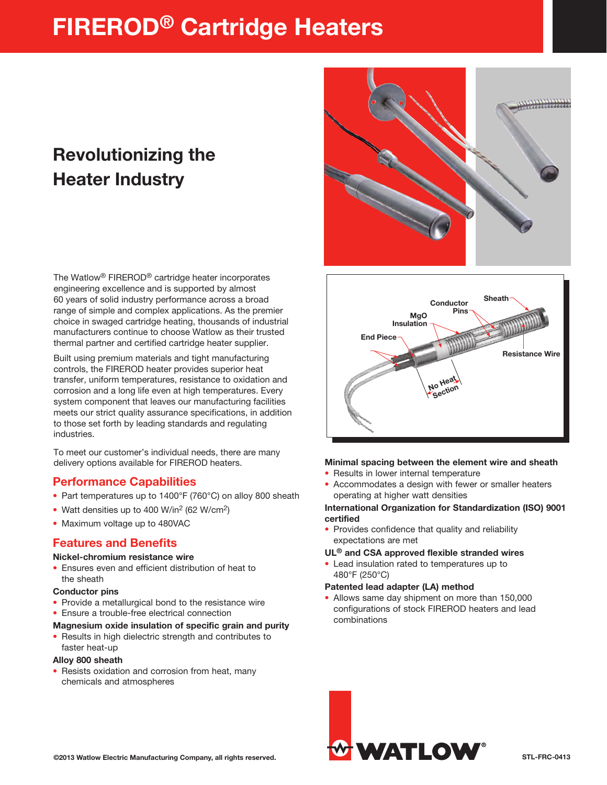# FIREROD® Cartridge Heaters

## Revolutionizing the Heater Industry

The Watlow® FIREROD® cartridge heater incorporates engineering excellence and is supported by almost 60 years of solid industry performance across a broad range of simple and complex applications. As the premier choice in swaged cartridge heating, thousands of industrial manufacturers continue to choose Watlow as their trusted thermal partner and certified cartridge heater supplier.

Built using premium materials and tight manufacturing controls, the FIREROD heater provides superior heat transfer, uniform temperatures, resistance to oxidation and corrosion and a long life even at high temperatures. Every system component that leaves our manufacturing facilities meets our strict quality assurance specifications, in addition to those set forth by leading standards and regulating industries.

To meet our customer's individual needs, there are many delivery options available for FIREROD heaters.

## Performance Capabilities

- Part temperatures up to 1400°F (760°C) on alloy 800 sheath
- Watt densities up to 400 W/in<sup>2</sup> (62 W/cm<sup>2</sup>)
- Maximum voltage up to 480VAC

## Features and Benefits

#### Nickel-chromium resistance wire

• Ensures even and efficient distribution of heat to the sheath

#### Conductor pins

- Provide a metallurgical bond to the resistance wire
- Ensure a trouble-free electrical connection

#### Magnesium oxide insulation of specific grain and purity

• Results in high dielectric strength and contributes to faster heat-up

#### Alloy 800 sheath

• Resists oxidation and corrosion from heat, many chemicals and atmospheres





#### Minimal spacing between the element wire and sheath

- Results in lower internal temperature
- Accommodates a design with fewer or smaller heaters operating at higher watt densities

#### International Organization for Standardization (ISO) 9001 certified

• Provides confidence that quality and reliability expectations are met

#### UL® and CSA approved flexible stranded wires

• Lead insulation rated to temperatures up to 480°F (250°C)

#### Patented lead adapter (LA) method

• Allows same day shipment on more than 150,000 configurations of stock FIREROD heaters and lead combinations

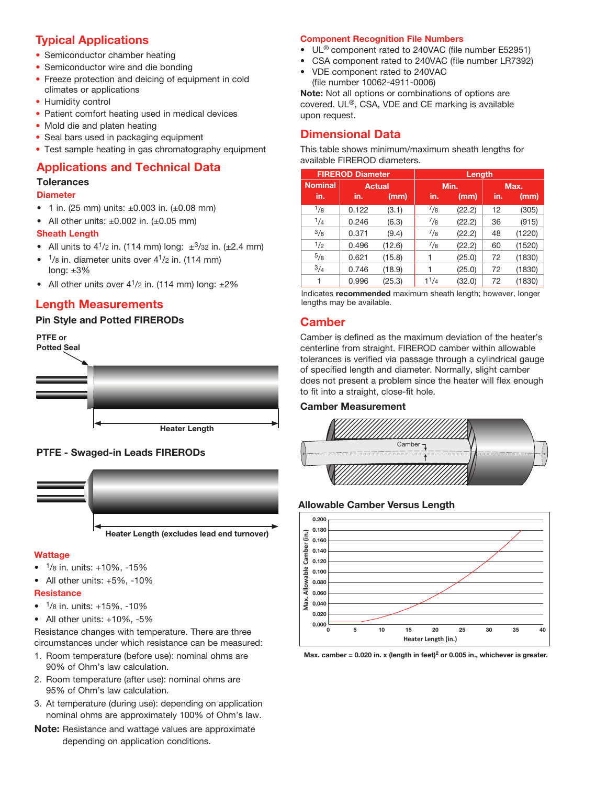## Typical Applications

- Semiconductor chamber heating
- Semiconductor wire and die bonding
- Freeze protection and deicing of equipment in cold climates or applications
- Humidity control
- Patient comfort heating used in medical devices
- Mold die and platen heating
- Seal bars used in packaging equipment
- Test sample heating in gas chromatography equipment

### Applications and Technical Data

#### **Tolerances**

#### **Diameter**

- 1 in. (25 mm) units:  $\pm 0.003$  in. ( $\pm 0.08$  mm)
- All other units:  $\pm 0.002$  in. ( $\pm 0.05$  mm)

#### Sheath Length

- All units to  $4^{1}/2$  in. (114 mm) long:  $\pm^{3}/32$  in. ( $\pm 2.4$  mm)
- $1$ /8 in. diameter units over  $4^{1}/2$  in. (114 mm) long:  $±3%$
- All other units over  $4^{1}/2$  in. (114 mm) long:  $\pm 2\%$

### Length Measurements

#### Pin Style and Potted FIRERODs



#### PTFE - Swaged-in Leads FIRERODs



#### **Wattage**

- $1/8$  in. units:  $+10\%$ ,  $-15\%$
- All other units: +5%, -10%

#### **Resistance**

- $\bullet$   $\frac{1}{8}$  in. units: +15%, -10%
- All other units: +10%, -5%

Resistance changes with temperature. There are three circumstances under which resistance can be measured:

- 1. Room temperature (before use): nominal ohms are 90% of Ohm's law calculation.
- 2. Room temperature (after use): nominal ohms are 95% of Ohm's law calculation.
- 3. At temperature (during use): depending on application nominal ohms are approximately 100% of Ohm's law.
- **Note:** Resistance and wattage values are approximate depending on application conditions.

#### Component Recognition File Numbers

- UL<sup>®</sup> component rated to 240VAC (file number E52951)
- CSA component rated to 240VAC (file number LR7392)
- VDE component rated to 240VAC (file number 10062-4911-0006)

Note: Not all options or combinations of options are covered. UL®, CSA, VDE and CE marking is available upon request.

## Dimensional Data

This table shows minimum/maximum sheath lengths for available FIREROD diameters.

| <b>FIREROD Diameter</b> |               |        | Length    |        |      |        |  |
|-------------------------|---------------|--------|-----------|--------|------|--------|--|
| <b>Nominal</b>          | <b>Actual</b> |        | Min.      |        | Max. |        |  |
| in.                     | in.           | (mm)   | in.       | (mm)   | in.  | (mm)   |  |
| $\frac{1}{8}$           | 0.122         | (3.1)  | $^{7}/8$  | (22.2) | 12   | (305)  |  |
| 1/4                     | 0.246         | (6.3)  | $^{7}/8$  | (22.2) | 36   | (915)  |  |
| 3/8                     | 0.371         | (9.4)  | $^{7}/8$  | (22.2) | 48   | (1220) |  |
| 1/2                     | 0.496         | (12.6) | $^{7}/8$  | (22.2) | 60   | (1520) |  |
| $^{5/8}$                | 0.621         | (15.8) | 1         | (25.0) | 72   | (1830) |  |
| 3/4                     | 0.746         | (18.9) |           | (25.0) | 72   | (1830) |  |
|                         | 0.996         | (25.3) | $1^{1/4}$ | (32.0) | 72   | (1830) |  |

Indicates recommended maximum sheath length; however, longer lengths may be available.

## **Camber**

Camber is defined as the maximum deviation of the heater's centerline from straight. FIREROD camber within allowable tolerances is verified via passage through a cylindrical gauge of specified length and diameter. Normally, slight camber does not present a problem since the heater will flex enough to fit into a straight, close-fit hole.

#### Camber Measurement



#### Allowable Camber Versus Length



Max. camber = 0.020 in. x (length in feet)<sup>2</sup> or 0.005 in., whichever is greater.